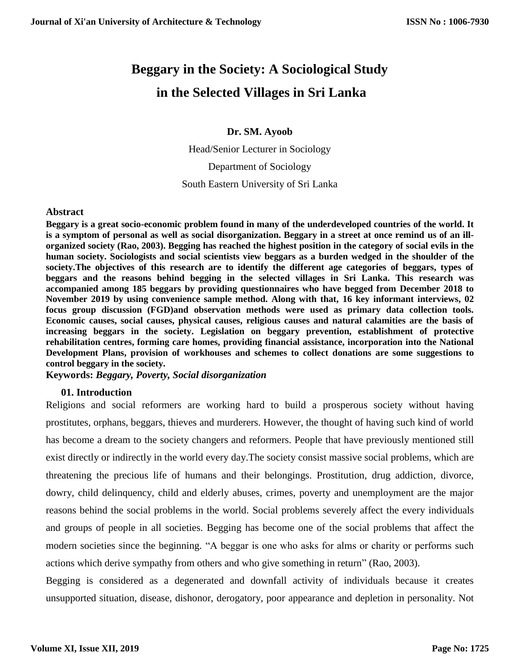# **Beggary in the Society: A Sociological Study in the Selected Villages in Sri Lanka**

**Dr. SM. Ayoob**

Head/Senior Lecturer in Sociology Department of Sociology South Eastern University of Sri Lanka

## **Abstract**

**Beggary is a great socio-economic problem found in many of the underdeveloped countries of the world. It is a symptom of personal as well as social disorganization. Beggary in a street at once remind us of an illorganized society (Rao, 2003). Begging has reached the highest position in the category of social evils in the human society. Sociologists and social scientists view beggars as a burden wedged in the shoulder of the society.The objectives of this research are to identify the different age categories of beggars, types of beggars and the reasons behind begging in the selected villages in Sri Lanka. This research was accompanied among 185 beggars by providing questionnaires who have begged from December 2018 to November 2019 by using convenience sample method. Along with that, 16 key informant interviews, 02 focus group discussion (FGD)and observation methods were used as primary data collection tools. Economic causes, social causes, physical causes, religious causes and natural calamities are the basis of increasing beggars in the society. Legislation on beggary prevention, establishment of protective rehabilitation centres, forming care homes, providing financial assistance, incorporation into the National Development Plans, provision of workhouses and schemes to collect donations are some suggestions to control beggary in the society.** 

**Keywords:** *Beggary, Poverty, Social disorganization*

## **01. Introduction**

Religions and social reformers are working hard to build a prosperous society without having prostitutes, orphans, beggars, thieves and murderers. However, the thought of having such kind of world has become a dream to the society changers and reformers. People that have previously mentioned still exist directly or indirectly in the world every day.The society consist massive social problems, which are threatening the precious life of humans and their belongings. Prostitution, drug addiction, divorce, dowry, child delinquency, child and elderly abuses, crimes, poverty and unemployment are the major reasons behind the social problems in the world. Social problems severely affect the every individuals and groups of people in all societies. Begging has become one of the social problems that affect the modern societies since the beginning. "A beggar is one who asks for alms or charity or performs such actions which derive sympathy from others and who give something in return" (Rao, 2003).

Begging is considered as a degenerated and downfall activity of individuals because it creates unsupported situation, disease, dishonor, derogatory, poor appearance and depletion in personality. Not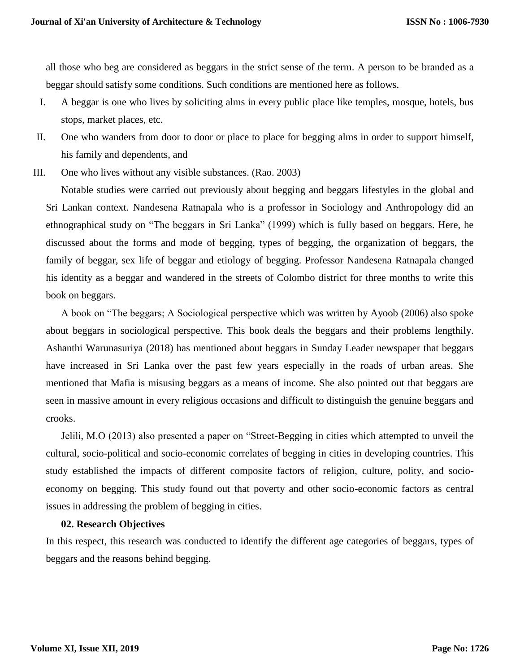all those who beg are considered as beggars in the strict sense of the term. A person to be branded as a beggar should satisfy some conditions. Such conditions are mentioned here as follows.

- I. A beggar is one who lives by soliciting alms in every public place like temples, mosque, hotels, bus stops, market places, etc.
- II. One who wanders from door to door or place to place for begging alms in order to support himself, his family and dependents, and
- III. One who lives without any visible substances. (Rao. 2003)

Notable studies were carried out previously about begging and beggars lifestyles in the global and Sri Lankan context. Nandesena Ratnapala who is a professor in Sociology and Anthropology did an ethnographical study on "The beggars in Sri Lanka" (1999) which is fully based on beggars. Here, he discussed about the forms and mode of begging, types of begging, the organization of beggars, the family of beggar, sex life of beggar and etiology of begging. Professor Nandesena Ratnapala changed his identity as a beggar and wandered in the streets of Colombo district for three months to write this book on beggars.

A book on "The beggars; A Sociological perspective which was written by Ayoob (2006) also spoke about beggars in sociological perspective. This book deals the beggars and their problems lengthily. Ashanthi Warunasuriya (2018) has mentioned about beggars in Sunday Leader newspaper that beggars have increased in Sri Lanka over the past few years especially in the roads of urban areas. She mentioned that Mafia is misusing beggars as a means of income. She also pointed out that beggars are seen in massive amount in every religious occasions and difficult to distinguish the genuine beggars and crooks.

Jelili, M.O (2013) also presented a paper on "Street-Begging in cities which attempted to unveil the cultural, socio-political and socio-economic correlates of begging in cities in developing countries. This study established the impacts of different composite factors of religion, culture, polity, and socioeconomy on begging. This study found out that poverty and other socio-economic factors as central issues in addressing the problem of begging in cities.

#### **02. Research Objectives**

In this respect, this research was conducted to identify the different age categories of beggars, types of beggars and the reasons behind begging.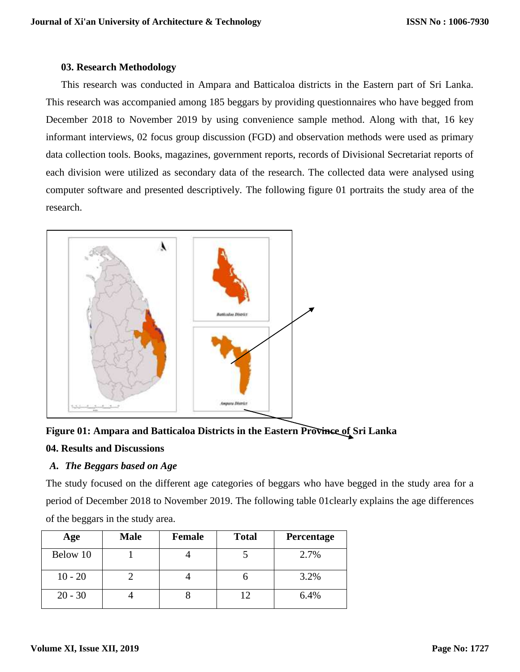## **03. Research Methodology**

This research was conducted in Ampara and Batticaloa districts in the Eastern part of Sri Lanka. This research was accompanied among 185 beggars by providing questionnaires who have begged from December 2018 to November 2019 by using convenience sample method. Along with that, 16 key informant interviews, 02 focus group discussion (FGD) and observation methods were used as primary data collection tools. Books, magazines, government reports, records of Divisional Secretariat reports of each division were utilized as secondary data of the research. The collected data were analysed using computer software and presented descriptively. The following figure 01 portraits the study area of the research.



# **Figure 01: Ampara and Batticaloa Districts in the Eastern Province of Sri Lanka**

## **04. Results and Discussions**

# *A. The Beggars based on Age*

The study focused on the different age categories of beggars who have begged in the study area for a period of December 2018 to November 2019. The following table 01clearly explains the age differences of the beggars in the study area.

| Age       | <b>Male</b> | <b>Female</b> | <b>Total</b> | Percentage |
|-----------|-------------|---------------|--------------|------------|
| Below 10  |             |               |              | 2.7%       |
| $10 - 20$ |             |               |              | 3.2%       |
| $20 - 30$ |             |               | 12           | 6.4%       |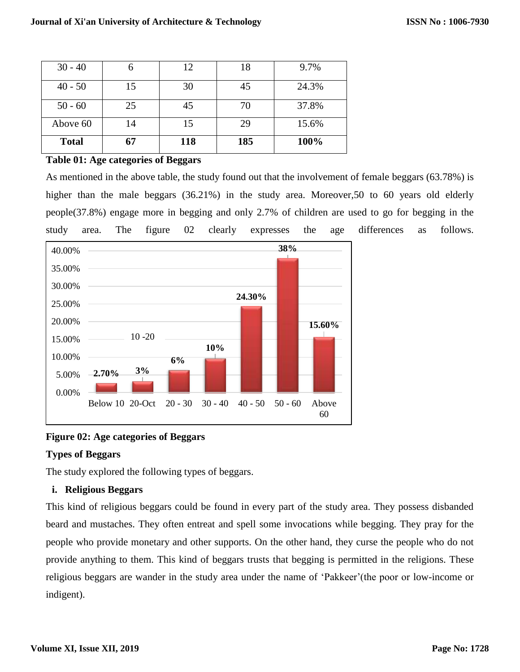| $30 - 40$    |    | 12  | 18  | 9.7%  |
|--------------|----|-----|-----|-------|
| $40 - 50$    | 15 | 30  | 45  | 24.3% |
| $50 - 60$    | 25 | 45  | 70  | 37.8% |
| Above 60     | 14 | 15  | 29  | 15.6% |
| <b>Total</b> | 67 | 118 | 185 | 100%  |

## **Table 01: Age categories of Beggars**

As mentioned in the above table, the study found out that the involvement of female beggars (63.78%) is higher than the male beggars (36.21%) in the study area. Moreover, 50 to 60 years old elderly people(37.8%) engage more in begging and only 2.7% of children are used to go for begging in the study area. The figure 02 clearly expresses the age differences as follows.



# **Figure 02: Age categories of Beggars**

# **Types of Beggars**

The study explored the following types of beggars.

# **i. Religious Beggars**

This kind of religious beggars could be found in every part of the study area. They possess disbanded beard and mustaches. They often entreat and spell some invocations while begging. They pray for the people who provide monetary and other supports. On the other hand, they curse the people who do not provide anything to them. This kind of beggars trusts that begging is permitted in the religions. These religious beggars are wander in the study area under the name of 'Pakkeer'(the poor or low-income or indigent).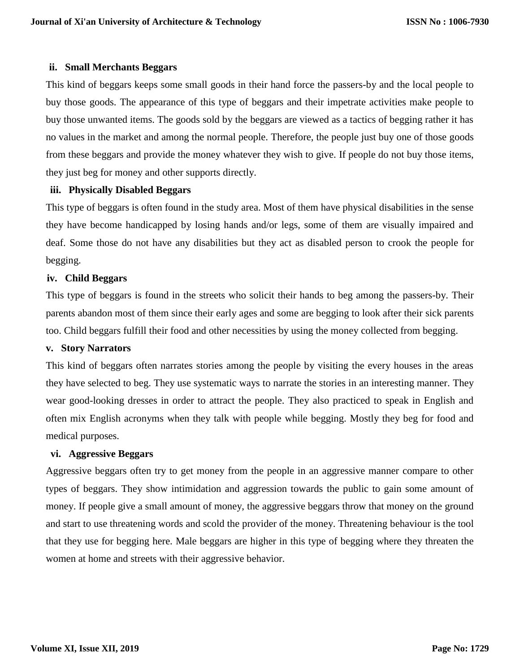## **ii. Small Merchants Beggars**

This kind of beggars keeps some small goods in their hand force the passers-by and the local people to buy those goods. The appearance of this type of beggars and their impetrate activities make people to buy those unwanted items. The goods sold by the beggars are viewed as a tactics of begging rather it has no values in the market and among the normal people. Therefore, the people just buy one of those goods from these beggars and provide the money whatever they wish to give. If people do not buy those items, they just beg for money and other supports directly.

## **iii. Physically Disabled Beggars**

This type of beggars is often found in the study area. Most of them have physical disabilities in the sense they have become handicapped by losing hands and/or legs, some of them are visually impaired and deaf. Some those do not have any disabilities but they act as disabled person to crook the people for begging.

## **iv. Child Beggars**

This type of beggars is found in the streets who solicit their hands to beg among the passers-by. Their parents abandon most of them since their early ages and some are begging to look after their sick parents too. Child beggars fulfill their food and other necessities by using the money collected from begging.

## **v. Story Narrators**

This kind of beggars often narrates stories among the people by visiting the every houses in the areas they have selected to beg. They use systematic ways to narrate the stories in an interesting manner. They wear good-looking dresses in order to attract the people. They also practiced to speak in English and often mix English acronyms when they talk with people while begging. Mostly they beg for food and medical purposes.

## **vi. Aggressive Beggars**

Aggressive beggars often try to get money from the people in an aggressive manner compare to other types of beggars. They show intimidation and aggression towards the public to gain some amount of money. If people give a small amount of money, the aggressive beggars throw that money on the ground and start to use threatening words and scold the provider of the money. Threatening behaviour is the tool that they use for begging here. Male beggars are higher in this type of begging where they threaten the women at home and streets with their aggressive behavior.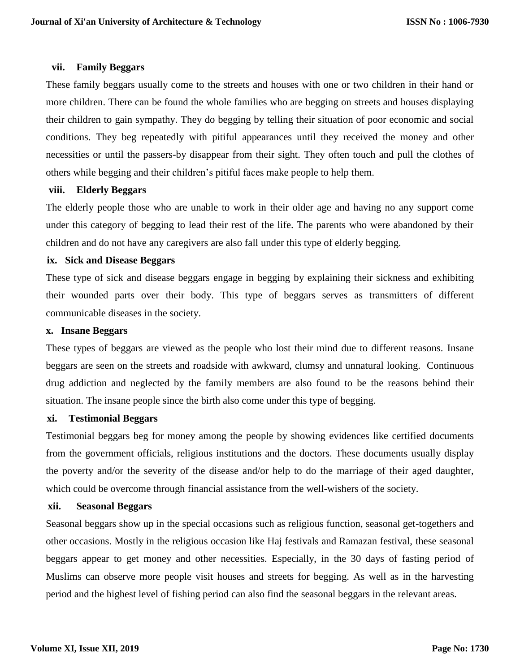#### **vii. Family Beggars**

These family beggars usually come to the streets and houses with one or two children in their hand or more children. There can be found the whole families who are begging on streets and houses displaying their children to gain sympathy. They do begging by telling their situation of poor economic and social conditions. They beg repeatedly with pitiful appearances until they received the money and other necessities or until the passers-by disappear from their sight. They often touch and pull the clothes of others while begging and their children's pitiful faces make people to help them.

## **viii. Elderly Beggars**

The elderly people those who are unable to work in their older age and having no any support come under this category of begging to lead their rest of the life. The parents who were abandoned by their children and do not have any caregivers are also fall under this type of elderly begging.

#### **ix. Sick and Disease Beggars**

These type of sick and disease beggars engage in begging by explaining their sickness and exhibiting their wounded parts over their body. This type of beggars serves as transmitters of different communicable diseases in the society.

#### **x. Insane Beggars**

These types of beggars are viewed as the people who lost their mind due to different reasons. Insane beggars are seen on the streets and roadside with awkward, clumsy and unnatural looking. Continuous drug addiction and neglected by the family members are also found to be the reasons behind their situation. The insane people since the birth also come under this type of begging.

## **xi. Testimonial Beggars**

Testimonial beggars beg for money among the people by showing evidences like certified documents from the government officials, religious institutions and the doctors. These documents usually display the poverty and/or the severity of the disease and/or help to do the marriage of their aged daughter, which could be overcome through financial assistance from the well-wishers of the society.

## **xii. Seasonal Beggars**

Seasonal beggars show up in the special occasions such as religious function, seasonal get-togethers and other occasions. Mostly in the religious occasion like Haj festivals and Ramazan festival, these seasonal beggars appear to get money and other necessities. Especially, in the 30 days of fasting period of Muslims can observe more people visit houses and streets for begging. As well as in the harvesting period and the highest level of fishing period can also find the seasonal beggars in the relevant areas.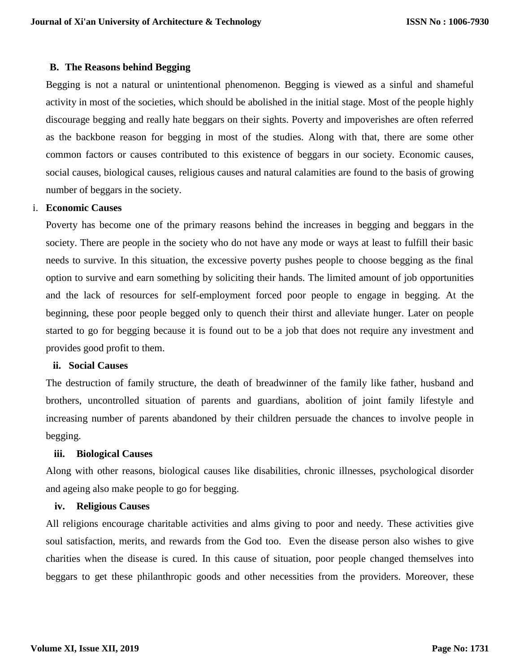#### **B. The Reasons behind Begging**

Begging is not a natural or unintentional phenomenon. Begging is viewed as a sinful and shameful activity in most of the societies, which should be abolished in the initial stage. Most of the people highly discourage begging and really hate beggars on their sights. Poverty and impoverishes are often referred as the backbone reason for begging in most of the studies. Along with that, there are some other common factors or causes contributed to this existence of beggars in our society. Economic causes, social causes, biological causes, religious causes and natural calamities are found to the basis of growing number of beggars in the society.

#### i. **Economic Causes**

Poverty has become one of the primary reasons behind the increases in begging and beggars in the society. There are people in the society who do not have any mode or ways at least to fulfill their basic needs to survive. In this situation, the excessive poverty pushes people to choose begging as the final option to survive and earn something by soliciting their hands. The limited amount of job opportunities and the lack of resources for self-employment forced poor people to engage in begging. At the beginning, these poor people begged only to quench their thirst and alleviate hunger. Later on people started to go for begging because it is found out to be a job that does not require any investment and provides good profit to them.

#### **ii. Social Causes**

The destruction of family structure, the death of breadwinner of the family like father, husband and brothers, uncontrolled situation of parents and guardians, abolition of joint family lifestyle and increasing number of parents abandoned by their children persuade the chances to involve people in begging.

#### **iii. Biological Causes**

Along with other reasons, biological causes like disabilities, chronic illnesses, psychological disorder and ageing also make people to go for begging.

#### **iv. Religious Causes**

All religions encourage charitable activities and alms giving to poor and needy. These activities give soul satisfaction, merits, and rewards from the God too. Even the disease person also wishes to give charities when the disease is cured. In this cause of situation, poor people changed themselves into beggars to get these philanthropic goods and other necessities from the providers. Moreover, these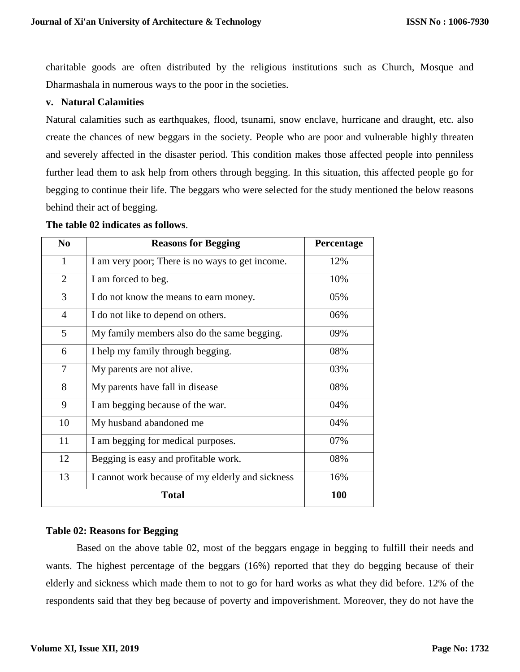charitable goods are often distributed by the religious institutions such as Church, Mosque and Dharmashala in numerous ways to the poor in the societies.

## **v. Natural Calamities**

Natural calamities such as earthquakes, flood, tsunami, snow enclave, hurricane and draught, etc. also create the chances of new beggars in the society. People who are poor and vulnerable highly threaten and severely affected in the disaster period. This condition makes those affected people into penniless further lead them to ask help from others through begging. In this situation, this affected people go for begging to continue their life. The beggars who were selected for the study mentioned the below reasons behind their act of begging.

#### **The table 02 indicates as follows**.

| N <sub>0</sub> | <b>Reasons for Begging</b>                       | Percentage |
|----------------|--------------------------------------------------|------------|
| $\mathbf{1}$   | I am very poor; There is no ways to get income.  | 12%        |
| $\overline{2}$ | I am forced to beg.                              | 10%        |
| 3              | I do not know the means to earn money.           | 05%        |
| $\overline{4}$ | I do not like to depend on others.               | 06%        |
| 5              | My family members also do the same begging.      | 09%        |
| 6              | I help my family through begging.                | 08%        |
| 7              | My parents are not alive.                        | 03%        |
| 8              | My parents have fall in disease                  | 08%        |
| 9              | I am begging because of the war.                 | 04%        |
| 10             | My husband abandoned me                          | 04%        |
| 11             | I am begging for medical purposes.               | 07%        |
| 12             | Begging is easy and profitable work.             | 08%        |
| 13             | I cannot work because of my elderly and sickness | 16%        |
|                | <b>100</b>                                       |            |

#### **Table 02: Reasons for Begging**

Based on the above table 02, most of the beggars engage in begging to fulfill their needs and wants. The highest percentage of the beggars (16%) reported that they do begging because of their elderly and sickness which made them to not to go for hard works as what they did before. 12% of the respondents said that they beg because of poverty and impoverishment. Moreover, they do not have the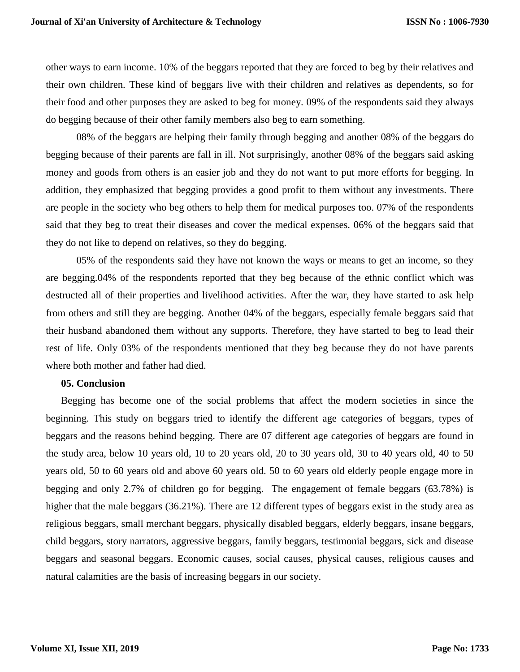other ways to earn income. 10% of the beggars reported that they are forced to beg by their relatives and their own children. These kind of beggars live with their children and relatives as dependents, so for their food and other purposes they are asked to beg for money. 09% of the respondents said they always do begging because of their other family members also beg to earn something.

08% of the beggars are helping their family through begging and another 08% of the beggars do begging because of their parents are fall in ill. Not surprisingly, another 08% of the beggars said asking money and goods from others is an easier job and they do not want to put more efforts for begging. In addition, they emphasized that begging provides a good profit to them without any investments. There are people in the society who beg others to help them for medical purposes too. 07% of the respondents said that they beg to treat their diseases and cover the medical expenses. 06% of the beggars said that they do not like to depend on relatives, so they do begging.

05% of the respondents said they have not known the ways or means to get an income, so they are begging.04% of the respondents reported that they beg because of the ethnic conflict which was destructed all of their properties and livelihood activities. After the war, they have started to ask help from others and still they are begging. Another 04% of the beggars, especially female beggars said that their husband abandoned them without any supports. Therefore, they have started to beg to lead their rest of life. Only 03% of the respondents mentioned that they beg because they do not have parents where both mother and father had died.

#### **05. Conclusion**

Begging has become one of the social problems that affect the modern societies in since the beginning. This study on beggars tried to identify the different age categories of beggars, types of beggars and the reasons behind begging. There are 07 different age categories of beggars are found in the study area, below 10 years old, 10 to 20 years old, 20 to 30 years old, 30 to 40 years old, 40 to 50 years old, 50 to 60 years old and above 60 years old. 50 to 60 years old elderly people engage more in begging and only 2.7% of children go for begging. The engagement of female beggars (63.78%) is higher that the male beggars (36.21%). There are 12 different types of beggars exist in the study area as religious beggars, small merchant beggars, physically disabled beggars, elderly beggars, insane beggars, child beggars, story narrators, aggressive beggars, family beggars, testimonial beggars, sick and disease beggars and seasonal beggars. Economic causes, social causes, physical causes, religious causes and natural calamities are the basis of increasing beggars in our society.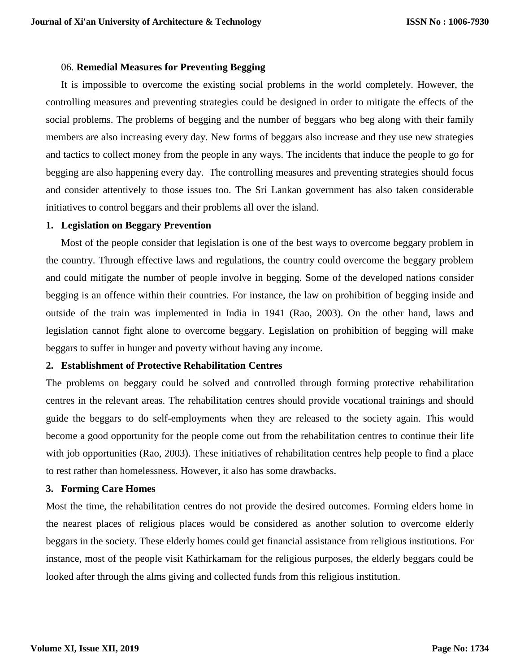#### 06. **Remedial Measures for Preventing Begging**

It is impossible to overcome the existing social problems in the world completely. However, the controlling measures and preventing strategies could be designed in order to mitigate the effects of the social problems. The problems of begging and the number of beggars who beg along with their family members are also increasing every day. New forms of beggars also increase and they use new strategies and tactics to collect money from the people in any ways. The incidents that induce the people to go for begging are also happening every day. The controlling measures and preventing strategies should focus and consider attentively to those issues too. The Sri Lankan government has also taken considerable initiatives to control beggars and their problems all over the island.

#### **1. Legislation on Beggary Prevention**

Most of the people consider that legislation is one of the best ways to overcome beggary problem in the country. Through effective laws and regulations, the country could overcome the beggary problem and could mitigate the number of people involve in begging. Some of the developed nations consider begging is an offence within their countries. For instance, the law on prohibition of begging inside and outside of the train was implemented in India in 1941 (Rao, 2003). On the other hand, laws and legislation cannot fight alone to overcome beggary. Legislation on prohibition of begging will make beggars to suffer in hunger and poverty without having any income.

## **2. Establishment of Protective Rehabilitation Centres**

The problems on beggary could be solved and controlled through forming protective rehabilitation centres in the relevant areas. The rehabilitation centres should provide vocational trainings and should guide the beggars to do self-employments when they are released to the society again. This would become a good opportunity for the people come out from the rehabilitation centres to continue their life with job opportunities (Rao, 2003). These initiatives of rehabilitation centres help people to find a place to rest rather than homelessness. However, it also has some drawbacks.

## **3. Forming Care Homes**

Most the time, the rehabilitation centres do not provide the desired outcomes. Forming elders home in the nearest places of religious places would be considered as another solution to overcome elderly beggars in the society. These elderly homes could get financial assistance from religious institutions. For instance, most of the people visit Kathirkamam for the religious purposes, the elderly beggars could be looked after through the alms giving and collected funds from this religious institution.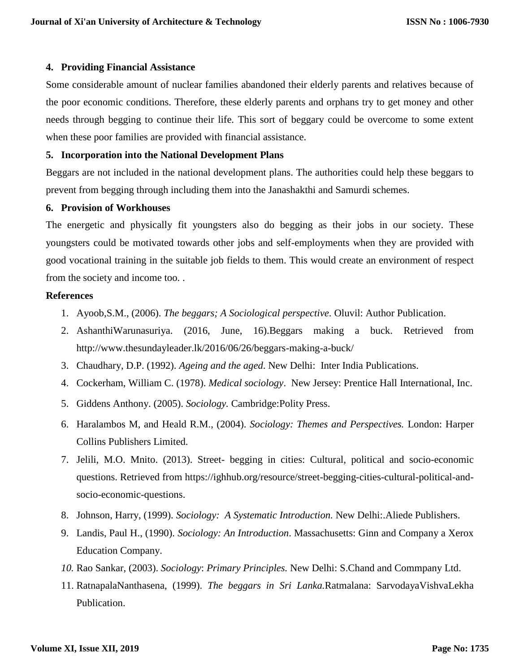#### **4. Providing Financial Assistance**

Some considerable amount of nuclear families abandoned their elderly parents and relatives because of the poor economic conditions. Therefore, these elderly parents and orphans try to get money and other needs through begging to continue their life. This sort of beggary could be overcome to some extent when these poor families are provided with financial assistance.

## **5. Incorporation into the National Development Plans**

Beggars are not included in the national development plans. The authorities could help these beggars to prevent from begging through including them into the Janashakthi and Samurdi schemes.

#### **6. Provision of Workhouses**

The energetic and physically fit youngsters also do begging as their jobs in our society. These youngsters could be motivated towards other jobs and self-employments when they are provided with good vocational training in the suitable job fields to them. This would create an environment of respect from the society and income too. .

#### **References**

- 1. Ayoob,S.M., (2006). *The beggars; A Sociological perspective*. Oluvil: Author Publication.
- 2. AshanthiWarunasuriya. (2016, June, 16).Beggars making a buck. Retrieved from <http://www.thesundayleader.lk/2016/06/26/beggars-making-a-buck/>
- 3. Chaudhary, D.P. (1992). *Ageing and the aged*. New Delhi: Inter India Publications.
- 4. Cockerham, William C. (1978). *Medical sociology*. New Jersey: Prentice Hall International, Inc.
- 5. Giddens Anthony. (2005). *Sociology.* Cambridge:Polity Press.
- 6. Haralambos M, and Heald R.M., (2004). *Sociology: Themes and Perspectives.* London: Harper Collins Publishers Limited.
- 7. Jelili, M.O. Mnito. (2013). Street- begging in cities: Cultural, political and socio-economic questions. Retrieved from [https://ighhub.org/resource/street-begging-cities-cultural-political-and](https://ighhub.org/resource/street-begging-cities-cultural-political-and-socio-economic-questions)[socio-economic-questions.](https://ighhub.org/resource/street-begging-cities-cultural-political-and-socio-economic-questions)
- 8. Johnson, Harry, (1999). *Sociology: A Systematic Introduction.* New Delhi:.Aliede Publishers.
- 9. Landis, Paul H., (1990). *Sociology: An Introduction*. Massachusetts: Ginn and Company a Xerox Education Company.
- *10.* Rao Sankar, (2003). *Sociology*: *Primary Principles.* New Delhi: S.Chand and Commpany Ltd.
- 11. RatnapalaNanthasena, (1999). *The beggars in Sri Lanka.*Ratmalana: SarvodayaVishvaLekha Publication.